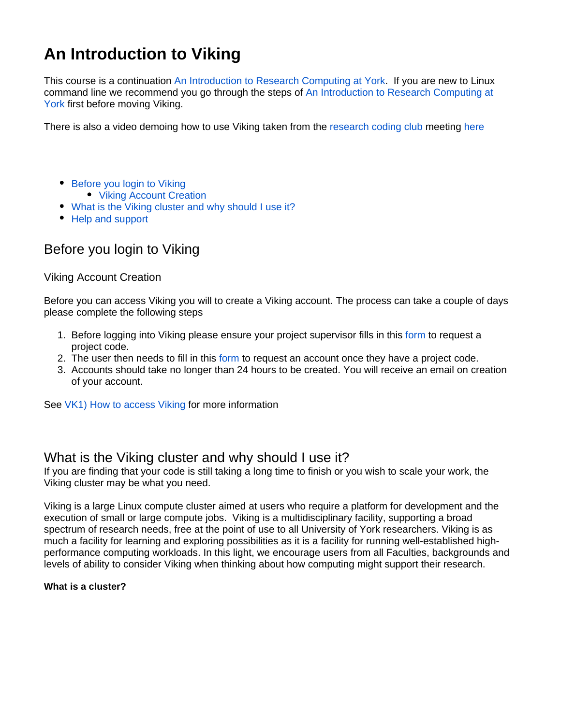# **An Introduction to Viking**

This course is a continuation [An Introduction to Research Computing at York.](https://wiki.york.ac.uk/display/RCS/An+Introduction+to+Research+Computing+at+York) If you are new to Linux command line we recommend you go through the steps of [An Introduction to Research Computing at](https://wiki.york.ac.uk/display/RCS/An+Introduction+to+Research+Computing+at+York)  [York](https://wiki.york.ac.uk/display/RCS/An+Introduction+to+Research+Computing+at+York) first before moving Viking.

There is also a video demoing how to use Viking taken from the [research coding club](https://researchcodingclub.github.io/) meeting [here](https://eu-lti.bbcollab.com/collab/ui/session/playback/load/8bd6af07236b40769f53185827dd4123)

- [Before you login to Viking](#page-0-0) • [Viking Account Creation](#page-0-1)
- [What is the Viking cluster and why should I use it?](#page-0-2)
- [Help and support](#page-1-0)

# <span id="page-0-0"></span>Before you login to Viking

<span id="page-0-1"></span>Viking Account Creation

Before you can access Viking you will to create a Viking account. The process can take a couple of days please complete the following steps

- 1. Before logging into Viking please ensure your project supervisor fills in this [form](https://goo.gl/forms/xlSrWsP0QaT7PYpm2) to request a project code.
- 2. The user then needs to fill in this [form](https://goo.gl/forms/0Uhl5sIOhFlYtZc63) to request an account once they have a project code.
- 3. Accounts should take no longer than 24 hours to be created. You will receive an email on creation of your account.

See [VK1\) How to access Viking](https://wiki.york.ac.uk/display/RCS/VK1%29+How+to+access+Viking) for more information

### <span id="page-0-2"></span>What is the Viking cluster and why should I use it?

If you are finding that your code is still taking a long time to finish or you wish to scale your work, the Viking cluster may be what you need.

Viking is a large Linux compute cluster aimed at users who require a platform for development and the execution of small or large compute jobs. Viking is a multidisciplinary facility, supporting a broad spectrum of research needs, free at the point of use to all University of York researchers. Viking is as much a facility for learning and exploring possibilities as it is a facility for running well-established highperformance computing workloads. In this light, we encourage users from all Faculties, backgrounds and levels of ability to consider Viking when thinking about how computing might support their research.

#### **What is a cluster?**